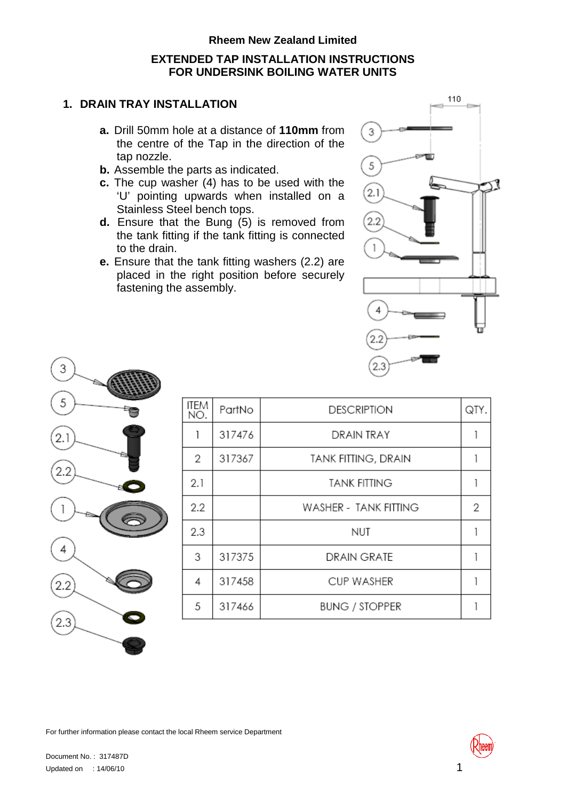# **Rheem New Zealand Limited EXTENDED TAP INSTALLATION INSTRUCTIONS FOR UNDERSINK BOILING WATER UNITS**

### **1. DRAIN TRAY INSTALLATION**

- **a.** Drill 50mm hole at a distance of **110mm** from the centre of the Tap in the direction of the tap nozzle.
- **b.** Assemble the parts as indicated.
- **c.** The cup washer (4) has to be used with the 'U' pointing upwards when installed on a Stainless Steel bench tops.
- **d.** Ensure that the Bung (5) is removed from the tank fitting if the tank fitting is connected to the drain.
- **e.** Ensure that the tank fitting washers (2.2) are placed in the right position before securely fastening the assembly.





| ITEM<br>NO.    | PartNo | <b>DESCRIPTION</b>         | QTY. |
|----------------|--------|----------------------------|------|
| 1              | 317476 | DRAIN TRAY                 |      |
| $\overline{2}$ | 317367 | <b>TANK FITTING, DRAIN</b> |      |
| 2.1            |        | <b>TANK FITTING</b>        |      |
| 2.2            |        | WASHER - TANK FITTING      | 2    |
| 2.3            |        | NUT                        |      |
| 3              | 317375 | DRAIN GRATE                |      |
| 4              | 317458 | <b>CUP WASHER</b>          |      |
| 5              | 317466 | <b>BUNG / STOPPER</b>      |      |
|                |        |                            |      |

For further information please contact the local Rheem service Department